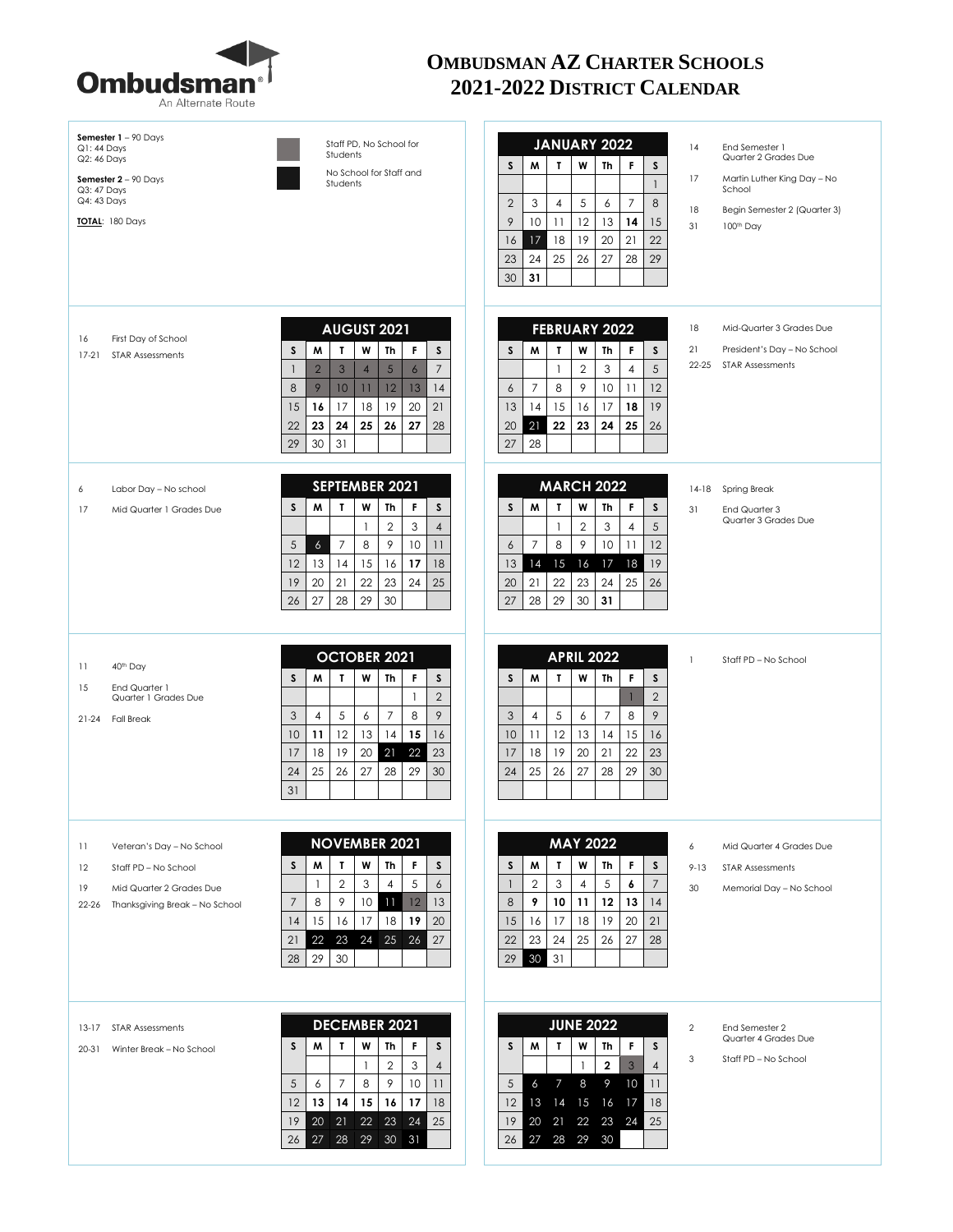

## **OMBUDSMAN AZ CHARTER SCHOOLS 2021-2022 DISTRICT CALENDAR**

| Semester $1 - 90$ Days<br>$Q1:44$ Days<br>Q2: 46 Days                      | Staff PD, No School for<br>Students                                                          | JANUARY 2022                                                        | 14<br>End Semester 1<br>Quarter 2 Grades Due |
|----------------------------------------------------------------------------|----------------------------------------------------------------------------------------------|---------------------------------------------------------------------|----------------------------------------------|
| Semester $2 - 90$ Days<br>Q3: 47 Days                                      | No School for Staff and<br>Students                                                          | S<br>M<br>T<br>W<br><b>Th</b><br>F<br>S<br>$\mathbf{1}$             | 17<br>Martin Luther King Day - No<br>School  |
| Q4: 43 Days                                                                |                                                                                              | $\overline{2}$<br>3<br>5<br>8<br>$\overline{4}$<br>6<br>7           | 18<br>Begin Semester 2 (Quarter 3)           |
| TOTAL: 180 Days                                                            |                                                                                              | 9<br>10<br>12<br>13<br>11<br>14<br>15                               | 31<br>100 <sup>th</sup> Day                  |
|                                                                            |                                                                                              | 17<br>18<br>19<br>20<br>21<br>22<br>16                              |                                              |
|                                                                            |                                                                                              | 23<br>24<br>25<br>26<br>27<br>28<br>29                              |                                              |
|                                                                            |                                                                                              | 30<br>31                                                            |                                              |
|                                                                            |                                                                                              |                                                                     |                                              |
| 16<br>First Day of School                                                  | <b>AUGUST 2021</b>                                                                           | <b>FEBRUARY 2022</b>                                                | 18<br>Mid-Quarter 3 Grades Due               |
| $17-21$<br><b>STAR Assessments</b>                                         | W<br>S<br>W<br>$\mathbf{r}$<br>Th<br>F<br><sub>S</sub>                                       | W<br>S<br>M<br>T<br>Th<br>F<br>S                                    | 21<br>President's Day - No School            |
|                                                                            | $\overline{2}$<br>3<br>$5\phantom{.}$<br>$\overline{7}$<br>$\overline{4}$<br>$\epsilon$<br>1 | $\overline{2}$<br>3<br>5<br>$\mathbf{1}$<br>4                       | $22 - 25$<br><b>STAR Assessments</b>         |
|                                                                            | 8<br>9<br>10<br>12<br>13<br>11<br>14                                                         | $\overline{7}$<br>8<br>9<br>10<br>12<br>6<br>11                     |                                              |
|                                                                            | 17<br>18<br>19<br>20<br>21<br>15<br>16                                                       | 13<br>14<br>15<br>17<br>18<br>19<br>16                              |                                              |
|                                                                            | 22<br>23<br>24<br>25<br>26<br>27<br>28                                                       | 21<br>20<br>22<br>23<br>24<br>25<br>26                              |                                              |
|                                                                            | 29<br>30<br>31                                                                               | 27<br>28                                                            |                                              |
| Labor Day - No school<br>6                                                 | SEPTEMBER 2021                                                                               | <b>MARCH 2022</b>                                                   | Spring Break<br>14-18                        |
| 17<br>Mid Quarter 1 Grades Due                                             | W<br><sub>S</sub><br>W<br>$\mathbf{I}$<br>Th<br>F<br>s                                       | M<br>W<br>S<br>S<br>T<br>Th<br>F.                                   | 31<br>End Quarter 3                          |
|                                                                            | $\mathbf{2}$<br>3<br>$\mathbf{1}$<br>$\overline{4}$                                          | 5<br>$\mathbf 2$<br>3<br>4<br>-1                                    | Quarter 3 Grades Due                         |
|                                                                            | 5<br>8<br>9<br>$\boldsymbol{6}$<br>7<br>10<br>11                                             | $\overline{7}$<br>8<br>9<br>10<br>12<br>6<br>11                     |                                              |
|                                                                            | 12<br>13<br>14<br>17<br>15<br>16<br>18                                                       | 15<br>16<br>17<br>18<br>19<br>13<br>14                              |                                              |
|                                                                            | 21<br>22<br>23<br>24<br>25<br>19<br>20                                                       | 22<br>23<br>24<br>25<br>26<br>20<br>21                              |                                              |
|                                                                            | 27<br>28<br>29<br>30<br>26                                                                   | 28<br>29<br>30<br>31<br>27                                          |                                              |
| 40 <sup>th</sup> Day<br>-11<br>End Quarter 1<br>15<br>Quarter 1 Grades Due | <b>OCTOBER 2021</b><br>T<br>W<br>M<br>Th<br>F<br>S<br>S<br>$\overline{2}$<br>-1              | <b>APRIL 2022</b><br>W<br>S<br>M<br>T<br>Th<br>F<br>S<br>$\sqrt{2}$ | $\mathbf{1}$<br>Staff PD - No School         |
| $21 - 24$<br><b>Fall Break</b>                                             | $\mathfrak{Z}$<br>5<br>$\overline{7}$<br>8<br>9<br>4<br>6                                    | 3<br>5<br>$\overline{7}$<br>8<br>9<br>4<br>6                        |                                              |
|                                                                            | 12<br>13<br>15<br>10<br>11<br>14<br>16                                                       | 12<br>13<br>10<br>11<br>15<br>14<br>16                              |                                              |
|                                                                            | 18<br>19<br>22<br>20<br>21<br>23<br>17                                                       | 19<br>20<br>21<br>22<br>18<br>23<br>17                              |                                              |
|                                                                            | 25<br>26<br>27<br>29<br>24<br>28<br>30                                                       | 25<br>26<br>27<br>28<br>29<br>24<br>30                              |                                              |
|                                                                            | 31                                                                                           |                                                                     |                                              |
|                                                                            | <b>NOVEMBER 2021</b>                                                                         | <b>MAY 2022</b>                                                     |                                              |
| 11<br>Veteran's Day - No School                                            | W<br>S<br>W<br>T<br>Th<br>F<br>S                                                             | M<br>W<br>F<br>Th<br>S<br>S<br>T.                                   | 6<br>Mid Quarter 4 Grades Due                |
| 12<br>Staff PD - No School                                                 | $\sqrt{2}$<br>3<br>5<br>1<br>4<br>6                                                          | $\mathbf{2}$<br>3<br>$\sqrt{5}$<br>$\overline{7}$<br>4<br>6<br>1    | $9 - 13$<br><b>STAR Assessments</b>          |
| Mid Quarter 2 Grades Due<br>19                                             | 8<br>9<br>$\overline{11}$<br>12<br>13<br>7<br>10                                             | $\,8\,$<br>12<br>9<br>10<br>11<br>13<br>14                          | 30<br>Memorial Day - No School               |
| $22 - 26$<br>Thanksgiving Break - No School                                | 15<br>17<br>18<br>19<br>20<br>16<br>14                                                       | 17<br>18<br>19<br>16<br>20<br>21<br>15                              |                                              |
|                                                                            | 21<br>22<br>23<br>24<br>25<br>26<br>27                                                       | 24<br>23<br>22<br>25<br>26<br>27<br>28                              |                                              |
|                                                                            | 30<br>29<br>28                                                                               | 30<br>31<br>29                                                      |                                              |
|                                                                            |                                                                                              |                                                                     |                                              |
|                                                                            |                                                                                              |                                                                     |                                              |
| $13-17$<br>STAR Assessments                                                | <b>DECEMBER 2021</b>                                                                         | <b>JUNE 2022</b>                                                    | $\overline{2}$<br>End Semester 2             |
| Winter Break - No School<br>20-31                                          | S<br>W<br>W<br>F<br>s<br>T<br>Th                                                             | W<br>S<br>Th<br>F<br>s<br>M<br>Т                                    | Quarter 4 Grades Due                         |
|                                                                            | $\mathbf{2}$<br>3<br>$\mathbf{1}$<br>$\overline{4}$                                          | $\mathbf{3}$<br>$\mathbf{2}$<br>$\overline{4}$<br>$\mathbf{1}$      | 3<br>Staff PD - No School                    |
|                                                                            | $\overline{7}$<br>9<br>5<br>8<br>10<br>11<br>6                                               | 5<br>6<br>$\overline{7}$<br>8<br>9<br>10<br>11                      |                                              |
|                                                                            | 12<br>13<br>14<br>15<br>16<br>17<br>18                                                       | 14<br>15 16<br>18<br>12 <sup>2</sup><br>13<br>17                    |                                              |
|                                                                            | 22<br>23<br>24<br>25<br>19<br>$20 \quad 21$                                                  | 22 23 24<br>20 21<br>25<br>19                                       |                                              |
|                                                                            | 27 28 29 30 31<br>26                                                                         | 26 27 28 29 30                                                      |                                              |